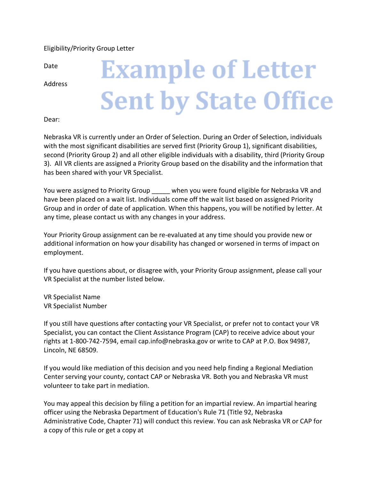## Eligibility/Priority Group Letter

Date

Address

## **Example of Letter Sent by State Office**

Dear:

Nebraska VR is currently under an Order of Selection. During an Order of Selection, individuals with the most significant disabilities are served first (Priority Group 1), significant disabilities, second (Priority Group 2) and all other eligible individuals with a disability, third (Priority Group 3). All VR clients are assigned a Priority Group based on the disability and the information that has been shared with your VR Specialist.

You were assigned to Priority Group when you were found eligible for Nebraska VR and have been placed on a wait list. Individuals come off the wait list based on assigned Priority Group and in order of date of application. When this happens, you will be notified by letter. At any time, please contact us with any changes in your address.

Your Priority Group assignment can be re-evaluated at any time should you provide new or additional information on how your disability has changed or worsened in terms of impact on employment.

If you have questions about, or disagree with, your Priority Group assignment, please call your VR Specialist at the number listed below.

VR Specialist Name VR Specialist Number

If you still have questions after contacting your VR Specialist, or prefer not to contact your VR Specialist, you can contact the Client Assistance Program (CAP) to receive advice about your rights at 1-800-742-7594, email cap.info@nebraska.gov or write to CAP at P.O. Box 94987, Lincoln, NE 68509.

If you would like mediation of this decision and you need help finding a Regional Mediation Center serving your county, contact CAP or Nebraska VR. Both you and Nebraska VR must volunteer to take part in mediation.

You may appeal this decision by filing a petition for an impartial review. An impartial hearing officer using the Nebraska Department of Education's Rule 71 (Title 92, Nebraska Administrative Code, Chapter 71) will conduct this review. You can ask Nebraska VR or CAP for a copy of this rule or get a copy at